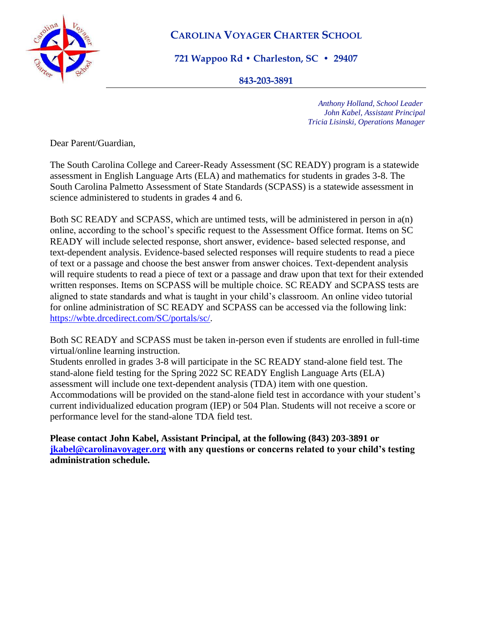

## **CAROLINA VOYAGER CHARTER SCHOOL**

**721 Wappoo Rd • Charleston, SC • 29407**

**843-203-3891** 

 *Anthony Holland, School Leader John Kabel, Assistant Principal Tricia Lisinski, Operations Manager*

Dear Parent/Guardian,

The South Carolina College and Career-Ready Assessment (SC READY) program is a statewide assessment in English Language Arts (ELA) and mathematics for students in grades 3-8. The South Carolina Palmetto Assessment of State Standards (SCPASS) is a statewide assessment in science administered to students in grades 4 and 6.

Both SC READY and SCPASS, which are untimed tests, will be administered in person in a(n) online, according to the school's specific request to the Assessment Office format. Items on SC READY will include selected response, short answer, evidence- based selected response, and text-dependent analysis. Evidence-based selected responses will require students to read a piece of text or a passage and choose the best answer from answer choices. Text-dependent analysis will require students to read a piece of text or a passage and draw upon that text for their extended written responses. Items on SCPASS will be multiple choice. SC READY and SCPASS tests are aligned to state standards and what is taught in your child's classroom. An online video tutorial for online administration of SC READY and SCPASS can be accessed via the following link: [https://wbte.drcedirect.com/SC/portals/sc/.](https://wbte.drcedirect.com/SC/portals/sc/)

Both SC READY and SCPASS must be taken in-person even if students are enrolled in full-time virtual/online learning instruction.

Students enrolled in grades 3-8 will participate in the SC READY stand-alone field test. The stand-alone field testing for the Spring 2022 SC READY English Language Arts (ELA) assessment will include one text-dependent analysis (TDA) item with one question. Accommodations will be provided on the stand-alone field test in accordance with your student's current individualized education program (IEP) or 504 Plan. Students will not receive a score or performance level for the stand-alone TDA field test.

**Please contact John Kabel, Assistant Principal, at the following (843) 203-3891 or [jkabel@carolinavoyager.org](mailto:jkabel@carolinavoyager.org) with any questions or concerns related to your child's testing administration schedule.**